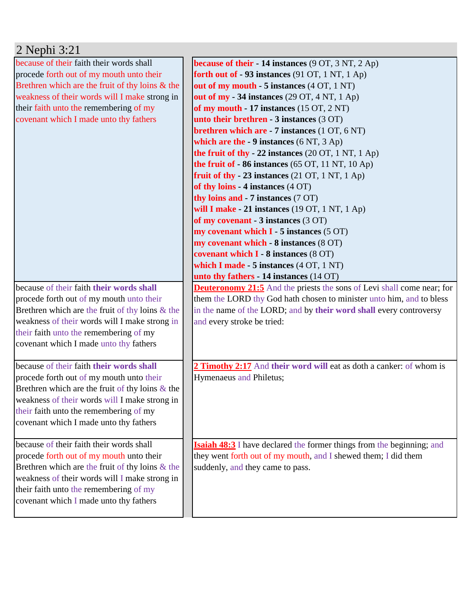| 2 Nephi 3:21                                                                                                                                                                                                                                                                    |                                                                                                                                                                                                                                                                                                                                                                                                                                                                                                                                                                                                                                                                                                                                                                                                                                                                                                                                                                                                                   |
|---------------------------------------------------------------------------------------------------------------------------------------------------------------------------------------------------------------------------------------------------------------------------------|-------------------------------------------------------------------------------------------------------------------------------------------------------------------------------------------------------------------------------------------------------------------------------------------------------------------------------------------------------------------------------------------------------------------------------------------------------------------------------------------------------------------------------------------------------------------------------------------------------------------------------------------------------------------------------------------------------------------------------------------------------------------------------------------------------------------------------------------------------------------------------------------------------------------------------------------------------------------------------------------------------------------|
| because of their faith their words shall<br>procede forth out of my mouth unto their<br>Brethren which are the fruit of thy loins $\&$ the<br>weakness of their words will I make strong in<br>their faith unto the remembering of my<br>covenant which I made unto thy fathers | <b>because of their - 14 instances</b> (9 OT, 3 NT, 2 Ap)<br>forth out of $-93$ instances (91 OT, 1 NT, 1 Ap)<br>out of my mouth - 5 instances (4 OT, 1 NT)<br>out of my $-34$ instances (29 OT, 4 NT, 1 Ap)<br>of my mouth $-17$ instances $(15 \text{ OT}, 2 \text{ NT})$<br>unto their brethren - $3$ instances $(3 OT)$<br>brethren which are - 7 instances (1 OT, 6 NT)<br>which are the - 9 instances $(6 NT, 3 Ap)$<br>the fruit of thy - 22 instances $(20 \text{ OT}, 1 \text{ NT}, 1 \text{ Ap})$<br>the fruit of $-86$ instances (65 OT, 11 NT, 10 Ap)<br>fruit of thy $-23$ instances (21 OT, 1 NT, 1 Ap)<br>of thy loins - 4 instances (4 OT)<br>thy loins and - 7 instances (7 OT)<br>will I make $-21$ instances (19 OT, 1 NT, 1 Ap)<br>of my covenant - 3 instances (3 OT)<br>my covenant which $I - 5$ instances (5 OT)<br>my covenant which - 8 instances (8 OT)<br>covenant which I - 8 instances (8 OT)<br>which I made - 5 instances (4 OT, 1 NT)<br>unto thy fathers - 14 instances (14 OT) |
| because of their faith their words shall<br>procede forth out of my mouth unto their<br>Brethren which are the fruit of thy loins $\&$ the<br>weakness of their words will I make strong in<br>their faith unto the remembering of my<br>covenant which I made unto thy fathers | <b>Deuteronomy 21:5</b> And the priests the sons of Levi shall come near; for<br>them the LORD thy God hath chosen to minister unto him, and to bless<br>in the name of the LORD; and by their word shall every controversy<br>and every stroke be tried:                                                                                                                                                                                                                                                                                                                                                                                                                                                                                                                                                                                                                                                                                                                                                         |
| because of their faith their words shall<br>procede forth out of my mouth unto their<br>Brethren which are the fruit of thy loins $\&$ the<br>weakness of their words will I make strong in<br>their faith unto the remembering of my<br>covenant which I made unto thy fathers | 2 Timothy 2:17 And their word will eat as doth a canker: of whom is<br>Hymenaeus and Philetus;                                                                                                                                                                                                                                                                                                                                                                                                                                                                                                                                                                                                                                                                                                                                                                                                                                                                                                                    |
| because of their faith their words shall<br>procede forth out of my mouth unto their<br>Brethren which are the fruit of thy loins $\&$ the<br>weakness of their words will I make strong in<br>their faith unto the remembering of my<br>covenant which I made unto thy fathers | <b>Isaiah 48:3</b> I have declared the former things from the beginning; and<br>they went forth out of my mouth, and I shewed them; I did them<br>suddenly, and they came to pass.                                                                                                                                                                                                                                                                                                                                                                                                                                                                                                                                                                                                                                                                                                                                                                                                                                |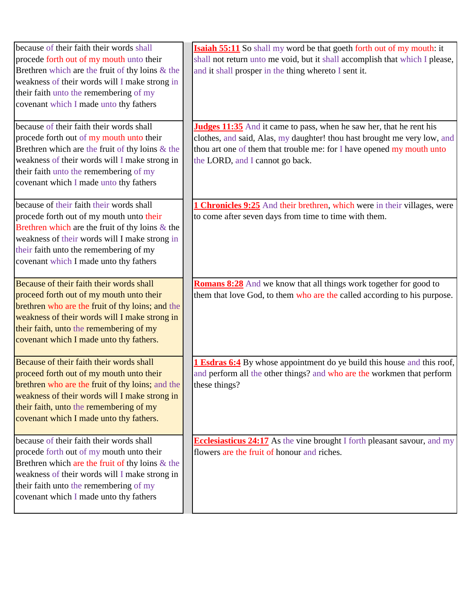| because of their faith their words shall<br>procede forth out of my mouth unto their<br>Brethren which are the fruit of thy loins $\&$ the<br>weakness of their words will I make strong in<br>their faith unto the remembering of my<br>covenant which I made unto thy fathers<br>because of their faith their words shall<br>procede forth out of my mouth unto their<br>Brethren which are the fruit of thy loins $&$ the<br>weakness of their words will I make strong in<br>their faith unto the remembering of my<br>covenant which I made unto thy fathers | <b>Isaiah 55:11</b> So shall my word be that goeth forth out of my mouth: it<br>shall not return unto me void, but it shall accomplish that which I please,<br>and it shall prosper in the thing whereto I sent it.<br><b>Judges 11:35</b> And it came to pass, when he saw her, that he rent his<br>clothes, and said, Alas, my daughter! thou hast brought me very low, and<br>thou art one of them that trouble me: for I have opened my mouth unto<br>the LORD, and I cannot go back. |
|-------------------------------------------------------------------------------------------------------------------------------------------------------------------------------------------------------------------------------------------------------------------------------------------------------------------------------------------------------------------------------------------------------------------------------------------------------------------------------------------------------------------------------------------------------------------|-------------------------------------------------------------------------------------------------------------------------------------------------------------------------------------------------------------------------------------------------------------------------------------------------------------------------------------------------------------------------------------------------------------------------------------------------------------------------------------------|
| because of their faith their words shall<br>procede forth out of my mouth unto their<br>Brethren which are the fruit of thy loins $\&$ the<br>weakness of their words will I make strong in<br>their faith unto the remembering of my<br>covenant which I made unto thy fathers                                                                                                                                                                                                                                                                                   | <b>1 Chronicles 9:25</b> And their brethren, which were in their villages, were<br>to come after seven days from time to time with them.                                                                                                                                                                                                                                                                                                                                                  |
| Because of their faith their words shall<br>proceed forth out of my mouth unto their<br>brethren who are the fruit of thy loins; and the<br>weakness of their words will I make strong in<br>their faith, unto the remembering of my<br>covenant which I made unto thy fathers.                                                                                                                                                                                                                                                                                   | Romans 8:28 And we know that all things work together for good to<br>them that love God, to them who are the called according to his purpose.                                                                                                                                                                                                                                                                                                                                             |
| Because of their faith their words shall<br>proceed forth out of my mouth unto their<br><b>brethren</b> who are the fruit of thy loins; and the<br>weakness of their words will I make strong in<br>their faith, unto the remembering of my<br>covenant which I made unto thy fathers.                                                                                                                                                                                                                                                                            | <b>1 Esdras 6:4</b> By whose appointment do ye build this house and this roof,<br>and perform all the other things? and who are the workmen that perform<br>these things?                                                                                                                                                                                                                                                                                                                 |
| because of their faith their words shall<br>procede forth out of my mouth unto their<br>Brethren which are the fruit of thy loins $\&$ the<br>weakness of their words will I make strong in<br>their faith unto the remembering of my<br>covenant which I made unto thy fathers                                                                                                                                                                                                                                                                                   | <b>Ecclesiasticus 24:17</b> As the vine brought I forth pleasant savour, and my<br>flowers are the fruit of honour and riches.                                                                                                                                                                                                                                                                                                                                                            |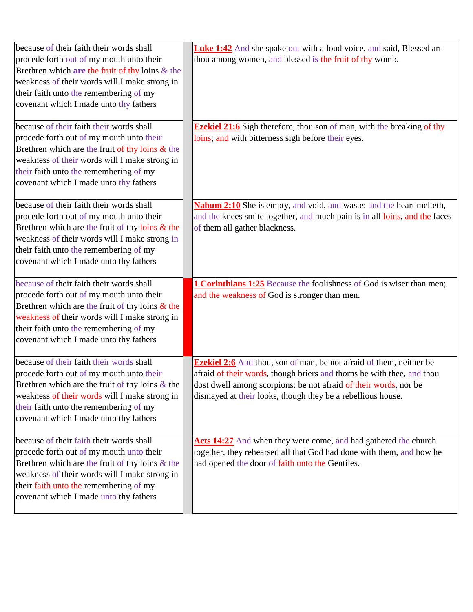| because of their faith their words shall           | Luke 1:42 And she spake out with a loud voice, and said, Blessed art          |
|----------------------------------------------------|-------------------------------------------------------------------------------|
| procede forth out of my mouth unto their           | thou among women, and blessed is the fruit of thy womb.                       |
| Brethren which are the fruit of thy loins $\&$ the |                                                                               |
| weakness of their words will I make strong in      |                                                                               |
| their faith unto the remembering of my             |                                                                               |
| covenant which I made unto thy fathers             |                                                                               |
| because of their faith their words shall           | <b>Ezekiel 21:6</b> Sigh therefore, thou son of man, with the breaking of thy |
| procede forth out of my mouth unto their           | loins; and with bitterness sigh before their eyes.                            |
| Brethren which are the fruit of thy loins $\&$ the |                                                                               |
| weakness of their words will I make strong in      |                                                                               |
| their faith unto the remembering of my             |                                                                               |
| covenant which I made unto thy fathers             |                                                                               |
| because of their faith their words shall           | <b>Nahum 2:10</b> She is empty, and void, and waste: and the heart melteth,   |
| procede forth out of my mouth unto their           | and the knees smite together, and much pain is in all loins, and the faces    |
| Brethren which are the fruit of thy loins $\&$ the | of them all gather blackness.                                                 |
| weakness of their words will I make strong in      |                                                                               |
| their faith unto the remembering of my             |                                                                               |
| covenant which I made unto thy fathers             |                                                                               |
| because of their faith their words shall           | <b>1 Corinthians 1:25</b> Because the foolishness of God is wiser than men;   |
| procede forth out of my mouth unto their           | and the weakness of God is stronger than men.                                 |
| Brethren which are the fruit of thy loins $\&$ the |                                                                               |
| weakness of their words will I make strong in      |                                                                               |
| their faith unto the remembering of my             |                                                                               |
| covenant which I made unto thy fathers             |                                                                               |
| because of their faith their words shall           | <b>Ezekiel 2:6</b> And thou, son of man, be not afraid of them, neither be    |
| procede forth out of my mouth unto their           | afraid of their words, though briers and thorns be with thee, and thou        |
| Brethren which are the fruit of thy loins $\&$ the | dost dwell among scorpions: be not afraid of their words, nor be              |
| weakness of their words will I make strong in      | dismayed at their looks, though they be a rebellious house.                   |
| their faith unto the remembering of my             |                                                                               |
| covenant which I made unto thy fathers             |                                                                               |
| because of their faith their words shall           | Acts 14:27 And when they were come, and had gathered the church               |
| procede forth out of my mouth unto their           | together, they rehearsed all that God had done with them, and how he          |
| Brethren which are the fruit of thy loins $\&$ the | had opened the door of faith unto the Gentiles.                               |
| weakness of their words will I make strong in      |                                                                               |
| their faith unto the remembering of my             |                                                                               |
| covenant which I made unto thy fathers             |                                                                               |
|                                                    |                                                                               |